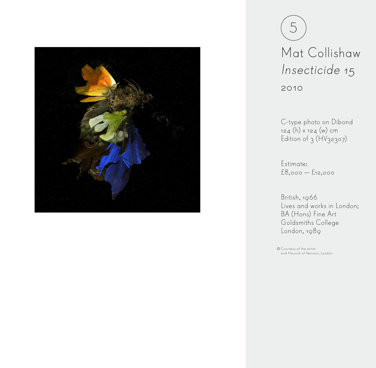

5 Mat Collishaw Insecticide 15 2010

C-type photo on Dibond 124 (h) x 124 (w) cm Edition of  $3$  ( $\overleftrightarrow{HV}$ 32307)

Estimate: £8,000 — £12,000

British, 1966 Lives and works in London; BA (Hons) Fine Art Goldsmiths College London, 1989

Courtesy of the artist and Haunch of Venison, London